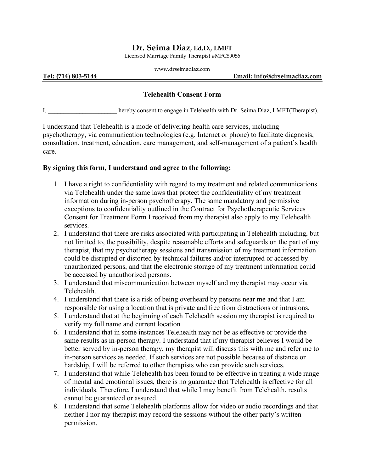## **Dr. Seima Diaz, Ed.D., LMFT**

Licensed Marriage Family Therapist #MFC89056

| www.drseimadiaz.com |  |
|---------------------|--|
|                     |  |

#### **Tel: (714) 803-5144 Email: info@drseimadiaz.com**

### **Telehealth Consent Form**

I, \_\_\_\_\_\_\_\_\_\_\_\_\_\_\_\_\_\_\_\_\_\_ hereby consent to engage in Telehealth with Dr. Seima Diaz, LMFT(Therapist).

I understand that Telehealth is a mode of delivering health care services, including psychotherapy, via communication technologies (e.g. Internet or phone) to facilitate diagnosis, consultation, treatment, education, care management, and self-management of a patient's health care.

#### **By signing this form, I understand and agree to the following:**

- 1. I have a right to confidentiality with regard to my treatment and related communications via Telehealth under the same laws that protect the confidentiality of my treatment information during in-person psychotherapy. The same mandatory and permissive exceptions to confidentiality outlined in the Contract for Psychotherapeutic Services Consent for Treatment Form I received from my therapist also apply to my Telehealth services.
- 2. I understand that there are risks associated with participating in Telehealth including, but not limited to, the possibility, despite reasonable efforts and safeguards on the part of my therapist, that my psychotherapy sessions and transmission of my treatment information could be disrupted or distorted by technical failures and/or interrupted or accessed by unauthorized persons, and that the electronic storage of my treatment information could be accessed by unauthorized persons.
- 3. I understand that miscommunication between myself and my therapist may occur via Telehealth.
- 4. I understand that there is a risk of being overheard by persons near me and that I am responsible for using a location that is private and free from distractions or intrusions.
- 5. I understand that at the beginning of each Telehealth session my therapist is required to verify my full name and current location.
- 6. I understand that in some instances Telehealth may not be as effective or provide the same results as in-person therapy. I understand that if my therapist believes I would be better served by in-person therapy, my therapist will discuss this with me and refer me to in-person services as needed. If such services are not possible because of distance or hardship, I will be referred to other therapists who can provide such services.
- 7. I understand that while Telehealth has been found to be effective in treating a wide range of mental and emotional issues, there is no guarantee that Telehealth is effective for all individuals. Therefore, I understand that while I may benefit from Telehealth, results cannot be guaranteed or assured.
- 8. I understand that some Telehealth platforms allow for video or audio recordings and that neither I nor my therapist may record the sessions without the other party's written permission.